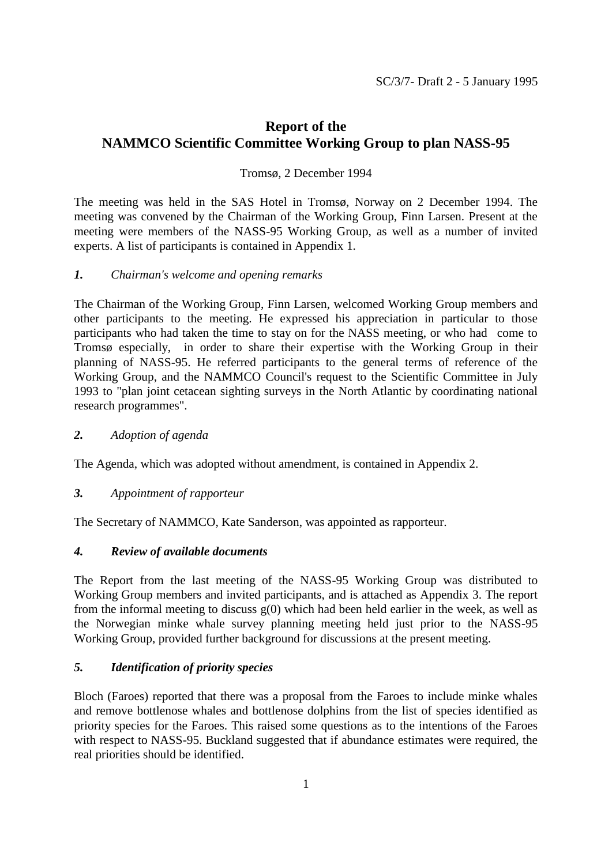# **Report of the NAMMCO Scientific Committee Working Group to plan NASS-95**

### Tromsø, 2 December 1994

The meeting was held in the SAS Hotel in Tromsø, Norway on 2 December 1994. The meeting was convened by the Chairman of the Working Group, Finn Larsen. Present at the meeting were members of the NASS-95 Working Group, as well as a number of invited experts. A list of participants is contained in Appendix 1.

#### *1. Chairman's welcome and opening remarks*

The Chairman of the Working Group, Finn Larsen, welcomed Working Group members and other participants to the meeting. He expressed his appreciation in particular to those participants who had taken the time to stay on for the NASS meeting, or who had come to Tromsø especially, in order to share their expertise with the Working Group in their planning of NASS-95. He referred participants to the general terms of reference of the Working Group, and the NAMMCO Council's request to the Scientific Committee in July 1993 to "plan joint cetacean sighting surveys in the North Atlantic by coordinating national research programmes".

#### *2. Adoption of agenda*

The Agenda, which was adopted without amendment, is contained in Appendix 2.

#### *3. Appointment of rapporteur*

The Secretary of NAMMCO, Kate Sanderson, was appointed as rapporteur.

#### *4. Review of available documents*

The Report from the last meeting of the NASS-95 Working Group was distributed to Working Group members and invited participants, and is attached as Appendix 3. The report from the informal meeting to discuss  $g(0)$  which had been held earlier in the week, as well as the Norwegian minke whale survey planning meeting held just prior to the NASS-95 Working Group, provided further background for discussions at the present meeting.

#### *5. Identification of priority species*

Bloch (Faroes) reported that there was a proposal from the Faroes to include minke whales and remove bottlenose whales and bottlenose dolphins from the list of species identified as priority species for the Faroes. This raised some questions as to the intentions of the Faroes with respect to NASS-95. Buckland suggested that if abundance estimates were required, the real priorities should be identified.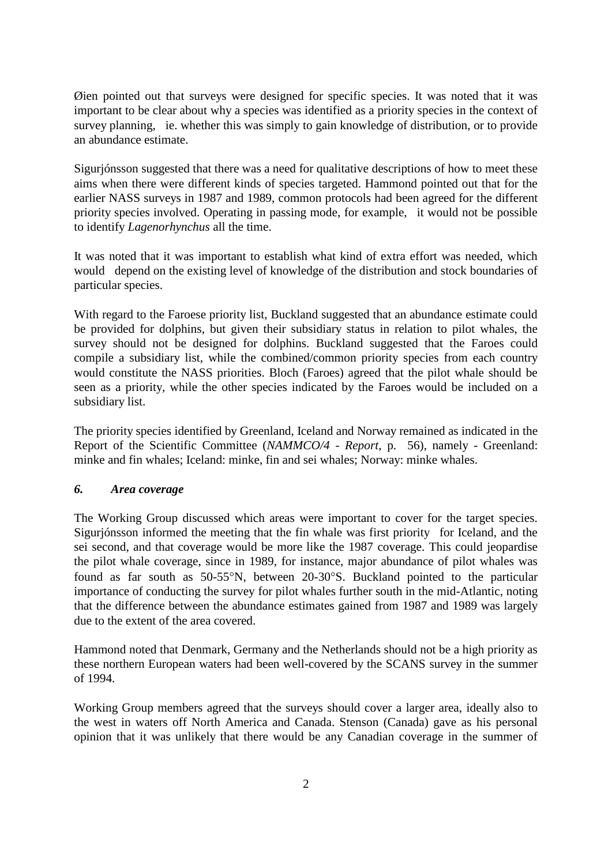Øien pointed out that surveys were designed for specific species. It was noted that it was important to be clear about why a species was identified as a priority species in the context of survey planning, ie. whether this was simply to gain knowledge of distribution, or to provide an abundance estimate.

Sigurjónsson suggested that there was a need for qualitative descriptions of how to meet these aims when there were different kinds of species targeted. Hammond pointed out that for the earlier NASS surveys in 1987 and 1989, common protocols had been agreed for the different priority species involved. Operating in passing mode, for example, it would not be possible to identify *Lagenorhynchus* all the time.

It was noted that it was important to establish what kind of extra effort was needed, which would depend on the existing level of knowledge of the distribution and stock boundaries of particular species.

With regard to the Faroese priority list, Buckland suggested that an abundance estimate could be provided for dolphins, but given their subsidiary status in relation to pilot whales, the survey should not be designed for dolphins. Buckland suggested that the Faroes could compile a subsidiary list, while the combined/common priority species from each country would constitute the NASS priorities. Bloch (Faroes) agreed that the pilot whale should be seen as a priority, while the other species indicated by the Faroes would be included on a subsidiary list.

The priority species identified by Greenland, Iceland and Norway remained as indicated in the Report of the Scientific Committee (*NAMMCO/4 - Report*, p. 56), namely - Greenland: minke and fin whales; Iceland: minke, fin and sei whales; Norway: minke whales.

### *6. Area coverage*

The Working Group discussed which areas were important to cover for the target species. Sigurjónsson informed the meeting that the fin whale was first priority for Iceland, and the sei second, and that coverage would be more like the 1987 coverage. This could jeopardise the pilot whale coverage, since in 1989, for instance, major abundance of pilot whales was found as far south as  $50-55^\circ N$ , between  $20-30^\circ S$ . Buckland pointed to the particular importance of conducting the survey for pilot whales further south in the mid-Atlantic, noting that the difference between the abundance estimates gained from 1987 and 1989 was largely due to the extent of the area covered.

Hammond noted that Denmark, Germany and the Netherlands should not be a high priority as these northern European waters had been well-covered by the SCANS survey in the summer of 1994.

Working Group members agreed that the surveys should cover a larger area, ideally also to the west in waters off North America and Canada. Stenson (Canada) gave as his personal opinion that it was unlikely that there would be any Canadian coverage in the summer of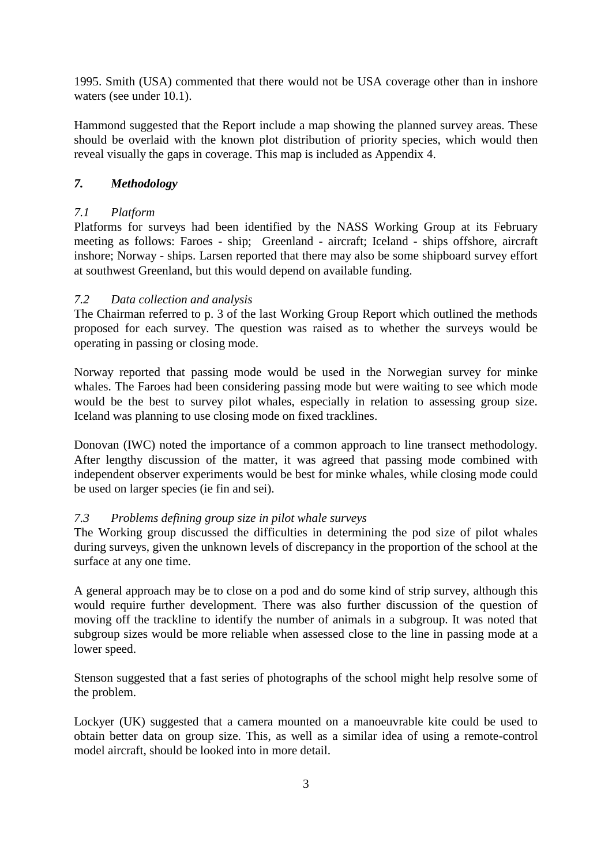1995. Smith (USA) commented that there would not be USA coverage other than in inshore waters (see under 10.1).

Hammond suggested that the Report include a map showing the planned survey areas. These should be overlaid with the known plot distribution of priority species, which would then reveal visually the gaps in coverage. This map is included as Appendix 4.

# *7. Methodology*

### *7.1 Platform*

Platforms for surveys had been identified by the NASS Working Group at its February meeting as follows: Faroes - ship; Greenland - aircraft; Iceland - ships offshore, aircraft inshore; Norway - ships. Larsen reported that there may also be some shipboard survey effort at southwest Greenland, but this would depend on available funding.

### *7.2 Data collection and analysis*

The Chairman referred to p. 3 of the last Working Group Report which outlined the methods proposed for each survey. The question was raised as to whether the surveys would be operating in passing or closing mode.

Norway reported that passing mode would be used in the Norwegian survey for minke whales. The Faroes had been considering passing mode but were waiting to see which mode would be the best to survey pilot whales, especially in relation to assessing group size. Iceland was planning to use closing mode on fixed tracklines.

Donovan (IWC) noted the importance of a common approach to line transect methodology. After lengthy discussion of the matter, it was agreed that passing mode combined with independent observer experiments would be best for minke whales, while closing mode could be used on larger species (ie fin and sei).

#### *7.3 Problems defining group size in pilot whale surveys*

The Working group discussed the difficulties in determining the pod size of pilot whales during surveys, given the unknown levels of discrepancy in the proportion of the school at the surface at any one time.

A general approach may be to close on a pod and do some kind of strip survey, although this would require further development. There was also further discussion of the question of moving off the trackline to identify the number of animals in a subgroup. It was noted that subgroup sizes would be more reliable when assessed close to the line in passing mode at a lower speed.

Stenson suggested that a fast series of photographs of the school might help resolve some of the problem.

Lockyer (UK) suggested that a camera mounted on a manoeuvrable kite could be used to obtain better data on group size. This, as well as a similar idea of using a remote-control model aircraft, should be looked into in more detail.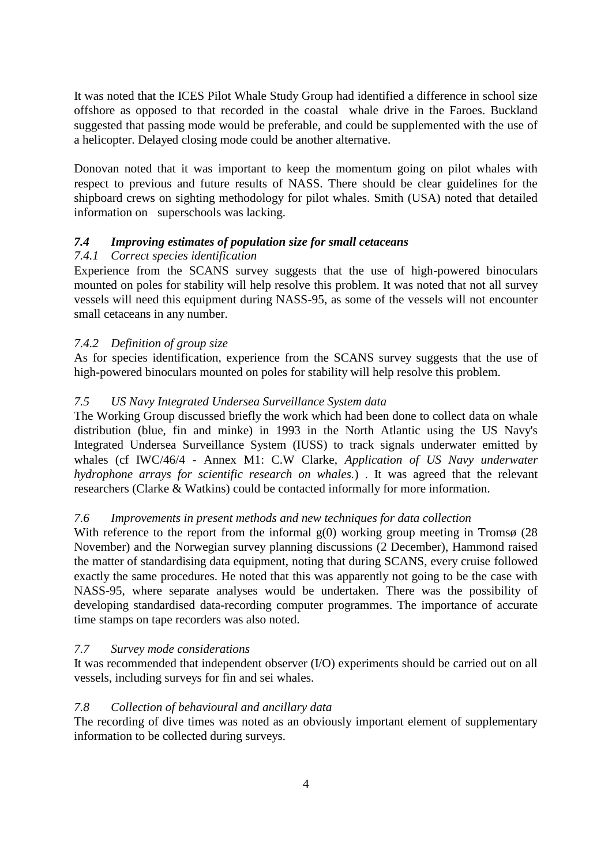It was noted that the ICES Pilot Whale Study Group had identified a difference in school size offshore as opposed to that recorded in the coastal whale drive in the Faroes. Buckland suggested that passing mode would be preferable, and could be supplemented with the use of a helicopter. Delayed closing mode could be another alternative.

Donovan noted that it was important to keep the momentum going on pilot whales with respect to previous and future results of NASS. There should be clear guidelines for the shipboard crews on sighting methodology for pilot whales. Smith (USA) noted that detailed information on superschools was lacking.

### *7.4 Improving estimates of population size for small cetaceans*

### *7.4.1 Correct species identification*

Experience from the SCANS survey suggests that the use of high-powered binoculars mounted on poles for stability will help resolve this problem. It was noted that not all survey vessels will need this equipment during NASS-95, as some of the vessels will not encounter small cetaceans in any number.

### *7.4.2 Definition of group size*

As for species identification, experience from the SCANS survey suggests that the use of high-powered binoculars mounted on poles for stability will help resolve this problem.

### *7.5 US Navy Integrated Undersea Surveillance System data*

The Working Group discussed briefly the work which had been done to collect data on whale distribution (blue, fin and minke) in 1993 in the North Atlantic using the US Navy's Integrated Undersea Surveillance System (IUSS) to track signals underwater emitted by whales (cf IWC/46/4 - Annex M1: C.W Clarke, *Application of US Navy underwater hydrophone arrays for scientific research on whales.*) . It was agreed that the relevant researchers (Clarke & Watkins) could be contacted informally for more information.

#### *7.6 Improvements in present methods and new techniques for data collection*

With reference to the report from the informal  $g(0)$  working group meeting in Tromsø (28) November) and the Norwegian survey planning discussions (2 December), Hammond raised the matter of standardising data equipment, noting that during SCANS, every cruise followed exactly the same procedures. He noted that this was apparently not going to be the case with NASS-95, where separate analyses would be undertaken. There was the possibility of developing standardised data-recording computer programmes. The importance of accurate time stamps on tape recorders was also noted.

#### *7.7 Survey mode considerations*

It was recommended that independent observer (I/O) experiments should be carried out on all vessels, including surveys for fin and sei whales.

#### *7.8 Collection of behavioural and ancillary data*

The recording of dive times was noted as an obviously important element of supplementary information to be collected during surveys.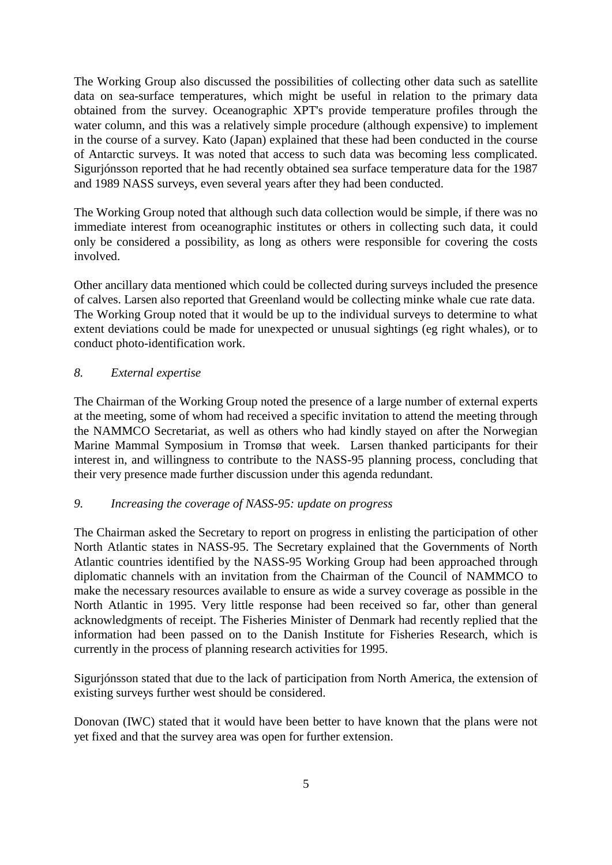The Working Group also discussed the possibilities of collecting other data such as satellite data on sea-surface temperatures, which might be useful in relation to the primary data obtained from the survey. Oceanographic XPT's provide temperature profiles through the water column, and this was a relatively simple procedure (although expensive) to implement in the course of a survey. Kato (Japan) explained that these had been conducted in the course of Antarctic surveys. It was noted that access to such data was becoming less complicated. Sigurjónsson reported that he had recently obtained sea surface temperature data for the 1987 and 1989 NASS surveys, even several years after they had been conducted.

The Working Group noted that although such data collection would be simple, if there was no immediate interest from oceanographic institutes or others in collecting such data, it could only be considered a possibility, as long as others were responsible for covering the costs involved.

Other ancillary data mentioned which could be collected during surveys included the presence of calves. Larsen also reported that Greenland would be collecting minke whale cue rate data. The Working Group noted that it would be up to the individual surveys to determine to what extent deviations could be made for unexpected or unusual sightings (eg right whales), or to conduct photo-identification work.

### *8. External expertise*

The Chairman of the Working Group noted the presence of a large number of external experts at the meeting, some of whom had received a specific invitation to attend the meeting through the NAMMCO Secretariat, as well as others who had kindly stayed on after the Norwegian Marine Mammal Symposium in Tromsø that week. Larsen thanked participants for their interest in, and willingness to contribute to the NASS-95 planning process, concluding that their very presence made further discussion under this agenda redundant.

#### *9. Increasing the coverage of NASS-95: update on progress*

The Chairman asked the Secretary to report on progress in enlisting the participation of other North Atlantic states in NASS-95. The Secretary explained that the Governments of North Atlantic countries identified by the NASS-95 Working Group had been approached through diplomatic channels with an invitation from the Chairman of the Council of NAMMCO to make the necessary resources available to ensure as wide a survey coverage as possible in the North Atlantic in 1995. Very little response had been received so far, other than general acknowledgments of receipt. The Fisheries Minister of Denmark had recently replied that the information had been passed on to the Danish Institute for Fisheries Research, which is currently in the process of planning research activities for 1995.

Sigurjónsson stated that due to the lack of participation from North America, the extension of existing surveys further west should be considered.

Donovan (IWC) stated that it would have been better to have known that the plans were not yet fixed and that the survey area was open for further extension.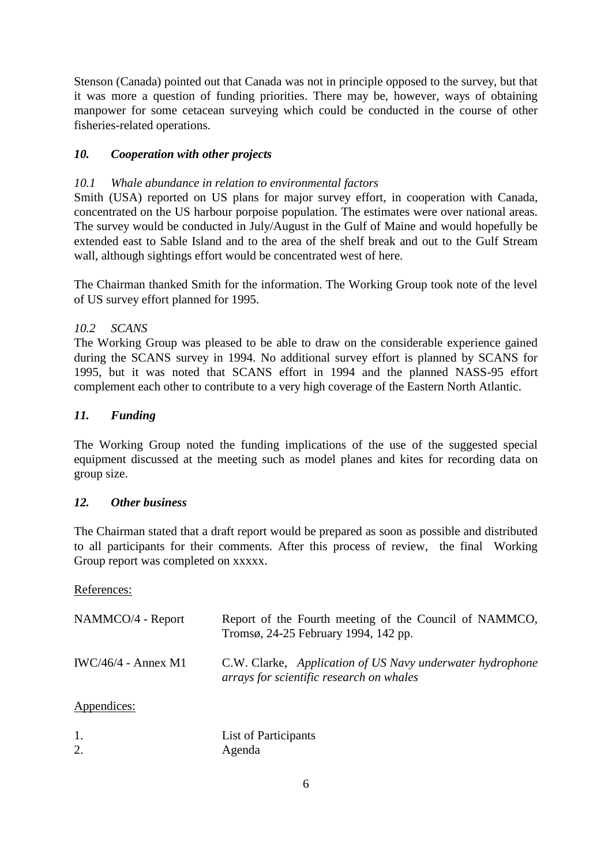Stenson (Canada) pointed out that Canada was not in principle opposed to the survey, but that it was more a question of funding priorities. There may be, however, ways of obtaining manpower for some cetacean surveying which could be conducted in the course of other fisheries-related operations.

# *10. Cooperation with other projects*

### *10.1 Whale abundance in relation to environmental factors*

Smith (USA) reported on US plans for major survey effort, in cooperation with Canada, concentrated on the US harbour porpoise population. The estimates were over national areas. The survey would be conducted in July/August in the Gulf of Maine and would hopefully be extended east to Sable Island and to the area of the shelf break and out to the Gulf Stream wall, although sightings effort would be concentrated west of here.

The Chairman thanked Smith for the information. The Working Group took note of the level of US survey effort planned for 1995.

### *10.2 SCANS*

The Working Group was pleased to be able to draw on the considerable experience gained during the SCANS survey in 1994. No additional survey effort is planned by SCANS for 1995, but it was noted that SCANS effort in 1994 and the planned NASS-95 effort complement each other to contribute to a very high coverage of the Eastern North Atlantic.

### *11. Funding*

The Working Group noted the funding implications of the use of the suggested special equipment discussed at the meeting such as model planes and kites for recording data on group size.

### *12. Other business*

The Chairman stated that a draft report would be prepared as soon as possible and distributed to all participants for their comments. After this process of review, the final Working Group report was completed on xxxxx.

#### References:

| NAMMCO/4 - Report     | Report of the Fourth meeting of the Council of NAMMCO,<br>Tromsø, 24-25 February 1994, 142 pp.        |
|-----------------------|-------------------------------------------------------------------------------------------------------|
| $IWC/46/4$ - Annex M1 | C.W. Clarke, Application of US Navy underwater hydrophone<br>arrays for scientific research on whales |
| Appendices:           |                                                                                                       |
|                       |                                                                                                       |

|    | List of Participants |
|----|----------------------|
| 2. | Agenda               |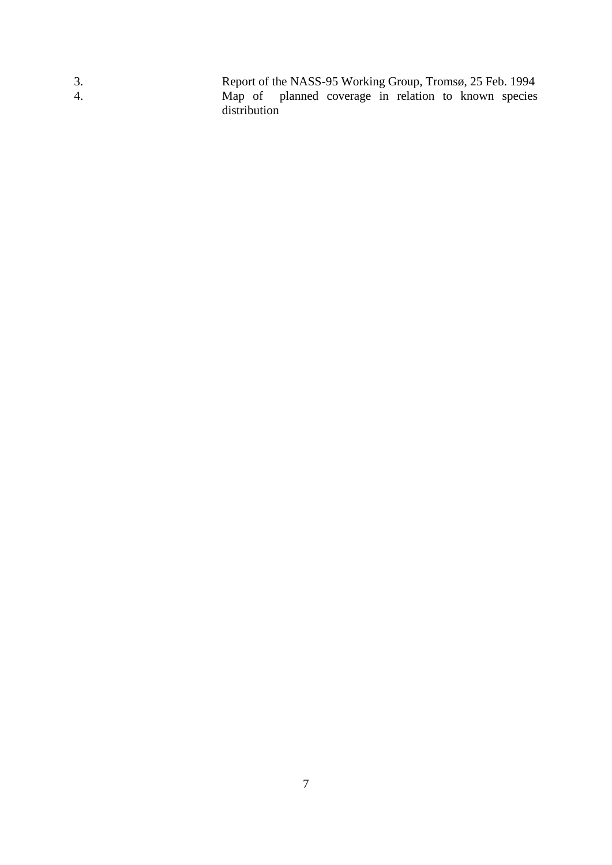3. Report of the NASS-95 Working Group, Tromsø, 25 Feb. 1994 4. Map of planned coverage in relation to known species distribution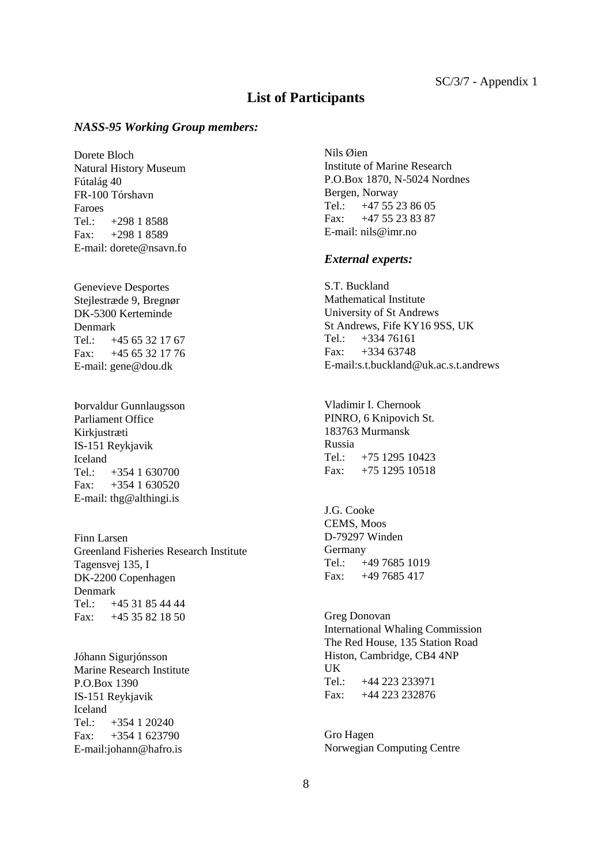#### **List of Participants**

#### *NASS-95 Working Group members:*

Dorete Bloch Natural History Museum Fútalág 40 FR-100 Tórshavn Faroes<br>Tel.:  $+298$  1 8588  $Fax: +29818589$ E-mail: dorete@nsavn.fo

Genevieve Desportes Stejlestræde 9, Bregnør DK-5300 Kerteminde Denmark Tel.: +45 65 32 17 67 Fax: +45 65 32 17 76 E-mail: gene@dou.dk

Þorvaldur Gunnlaugsson Parliament Office Kirkjustræti IS-151 Reykjavik Iceland Tel.: +354 1 630700 Fax:  $+354$  1 630520 E-mail: thg@althingi.is

Finn Larsen Greenland Fisheries Research Institute Tagensvej 135, I DK-2200 Copenhagen Denmark Tel.: +45 31 85 44 44 Fax: +45 35 82 18 50

Jóhann Sigurjónsson Marine Research Institute P.O.Box 1390 IS-151 Reykjavik Iceland Tel.: +354 1 20240 Fax: +354 1 623790 E-mail:johann@hafro.is

Nils Øien Institute of Marine Research P.O.Box 1870, N-5024 Nordnes Bergen, Norway Tel.: +47 55 23 86 05 Fax: +47 55 23 83 87 E-mail: nils@imr.no

#### *External experts:*

S.T. Buckland Mathematical Institute University of St Andrews St Andrews, Fife KY16 9SS, UK Tel.: +334 76161 Fax: +334 63748 E-mail:s.t.buckland@uk.ac.s.t.andrews

Vladimir I. Chernook PINRO, 6 Knipovich St. 183763 Murmansk Russia Tel.: +75 1295 10423 Fax: +75 1295 10518

J.G. Cooke CEMS, Moos D-79297 Winden Germany Tel.: +49 7685 1019 Fax: +49 7685 417

Greg Donovan International Whaling Commission The Red House, 135 Station Road Histon, Cambridge, CB4 4NP UK Tel.: +44 223 233971 Fax: +44 223 232876

Gro Hagen Norwegian Computing Centre